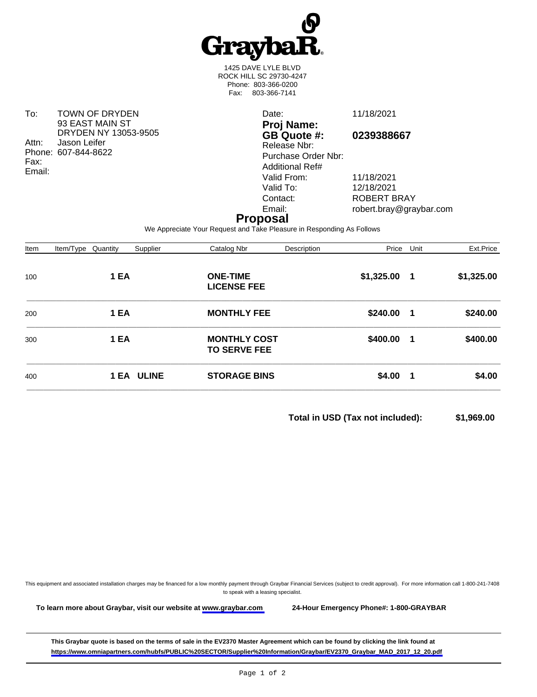

1425 DAVE LYLE BLVD ROCK HILL SC 29730-4247 Phone: 803-366-0200 Fax: 803-366-7141

To: TOWN OF DRYDEN 93 EAST MAIN ST DRYDEN NY 13053-9505 Attn: Jason Leifer Phone: 607-844-8622 Fax: Email:

Date: 11/18/2021 **Proj Name: GB Quote #: 0239388667** Release Nbr: Purchase Order Nbr: Additional Ref# Valid From: 11/18/2021<br>Valid To: 12/18/2021 Valid To: 12/18/2021<br>Contact: ROBERT B

Contact: ROBERT BRAY<br>
Email: Figure 1001 For the robert.bray@gra robert.bray@graybar.com

## **Proposal**

We Appreciate Your Request and Take Pleasure in Responding As Follows

| Item | Item/Type Quantity | Supplier   | Catalog Nbr                                | Description | Price        | Unit           | Ext.Price  |
|------|--------------------|------------|--------------------------------------------|-------------|--------------|----------------|------------|
| 100  | 1 EA               |            | <b>ONE-TIME</b><br><b>LICENSE FEE</b>      |             | \$1,325.00 1 |                | \$1,325.00 |
| 200  | 1 EA               |            | <b>MONTHLY FEE</b>                         |             | \$240.00 1   |                | \$240.00   |
| 300  | 1 EA               |            | <b>MONTHLY COST</b><br><b>TO SERVE FEE</b> |             | \$400.00     | $\blacksquare$ | \$400.00   |
| 400  |                    | 1 EA ULINE | <b>STORAGE BINS</b>                        |             | $$4.00$ 1    |                | \$4.00     |

**Total in USD (Tax not included): \$1,969.00** 

This equipment and associated installation charges may be financed for a low monthly payment through Graybar Financial Services (subject to credit approval). For more information call 1-800-241-7408 to speak with a leasing specialist.

**To learn more about Graybar, visit our website at [www.graybar.com](www.graybar.com ) 24-Hour Emergency Phone#: 1-800-GRAYBAR**

**This Graybar quote is based on the terms of sale in the EV2370 Master Agreement which can be found by clicking the link found at [https://www.omniapartners.com/hubfs/PUBLIC%20SECTOR/Supplier%20Information/Graybar/EV2370\\_Graybar\\_MAD\\_2017\\_12\\_20.pdf](https://www.omniapartners.com/hubfs/PUBLIC%20SECTOR/Supplier%20Information/Graybar/EV2370_Graybar_MAD_2017_12_20.pdf)**